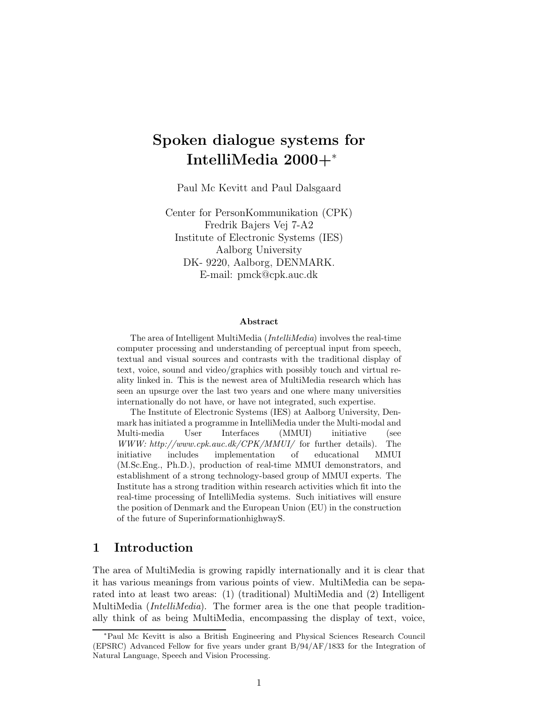# Spoken dialogue systems for IntelliMedia 2000+<sup>∗</sup>

Paul Mc Kevitt and Paul Dalsgaard

Center for PersonKommunikation (CPK) Fredrik Bajers Vej 7-A2 Institute of Electronic Systems (IES) Aalborg University DK- 9220, Aalborg, DENMARK. E-mail: pmck@cpk.auc.dk

#### Abstract

The area of Intelligent MultiMedia (*IntelliMedia*) involves the real-time computer processing and understanding of perceptual input from speech, textual and visual sources and contrasts with the traditional display of text, voice, sound and video/graphics with possibly touch and virtual reality linked in. This is the newest area of MultiMedia research which has seen an upsurge over the last two years and one where many universities internationally do not have, or have not integrated, such expertise.

The Institute of Electronic Systems (IES) at Aalborg University, Denmark has initiated a programme in IntelliMedia under the Multi-modal and Multi-media User Interfaces (MMUI) initiative (see *WWW: http://www.cpk.auc.dk/CPK/MMUI/* for further details). The initiative includes implementation of educational MMUI (M.Sc.Eng., Ph.D.), production of real-time MMUI demonstrators, and establishment of a strong technology-based group of MMUI experts. The Institute has a strong tradition within research activities which fit into the real-time processing of IntelliMedia systems. Such initiatives will ensure the position of Denmark and the European Union (EU) in the construction of the future of SuperinformationhighwayS.

# 1 Introduction

The area of MultiMedia is growing rapidly internationally and it is clear that it has various meanings from various points of view. MultiMedia can be separated into at least two areas: (1) (traditional) MultiMedia and (2) Intelligent MultiMedia (*IntelliMedia*). The former area is the one that people traditionally think of as being MultiMedia, encompassing the display of text, voice,

<sup>∗</sup>Paul Mc Kevitt is also a British Engineering and Physical Sciences Research Council (EPSRC) Advanced Fellow for five years under grant B/94/AF/1833 for the Integration of Natural Language, Speech and Vision Processing.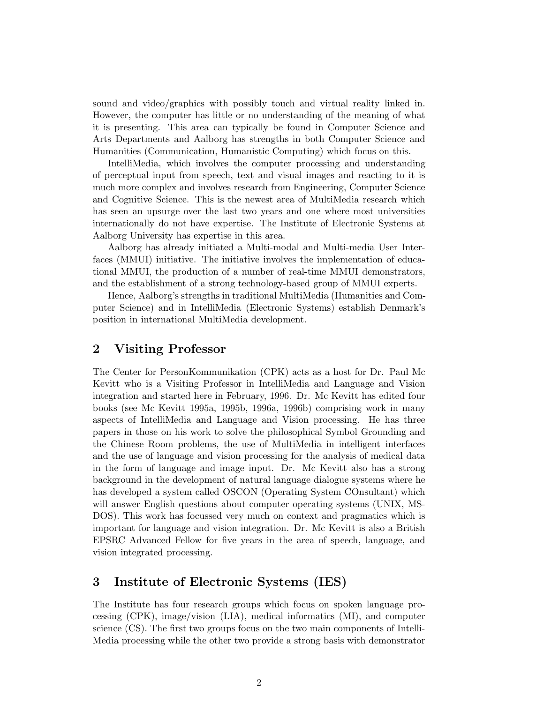sound and video/graphics with possibly touch and virtual reality linked in. However, the computer has little or no understanding of the meaning of what it is presenting. This area can typically be found in Computer Science and Arts Departments and Aalborg has strengths in both Computer Science and Humanities (Communication, Humanistic Computing) which focus on this.

IntelliMedia, which involves the computer processing and understanding of perceptual input from speech, text and visual images and reacting to it is much more complex and involves research from Engineering, Computer Science and Cognitive Science. This is the newest area of MultiMedia research which has seen an upsurge over the last two years and one where most universities internationally do not have expertise. The Institute of Electronic Systems at Aalborg University has expertise in this area.

Aalborg has already initiated a Multi-modal and Multi-media User Interfaces (MMUI) initiative. The initiative involves the implementation of educational MMUI, the production of a number of real-time MMUI demonstrators, and the establishment of a strong technology-based group of MMUI experts.

Hence, Aalborg's strengths in traditional MultiMedia (Humanities and Computer Science) and in IntelliMedia (Electronic Systems) establish Denmark's position in international MultiMedia development.

## 2 Visiting Professor

The Center for PersonKommunikation (CPK) acts as a host for Dr. Paul Mc Kevitt who is a Visiting Professor in IntelliMedia and Language and Vision integration and started here in February, 1996. Dr. Mc Kevitt has edited four books (see Mc Kevitt 1995a, 1995b, 1996a, 1996b) comprising work in many aspects of IntelliMedia and Language and Vision processing. He has three papers in those on his work to solve the philosophical Symbol Grounding and the Chinese Room problems, the use of MultiMedia in intelligent interfaces and the use of language and vision processing for the analysis of medical data in the form of language and image input. Dr. Mc Kevitt also has a strong background in the development of natural language dialogue systems where he has developed a system called OSCON (Operating System COnsultant) which will answer English questions about computer operating systems (UNIX, MS-DOS). This work has focussed very much on context and pragmatics which is important for language and vision integration. Dr. Mc Kevitt is also a British EPSRC Advanced Fellow for five years in the area of speech, language, and vision integrated processing.

# 3 Institute of Electronic Systems (IES)

The Institute has four research groups which focus on spoken language processing (CPK), image/vision (LIA), medical informatics (MI), and computer science (CS). The first two groups focus on the two main components of Intelli-Media processing while the other two provide a strong basis with demonstrator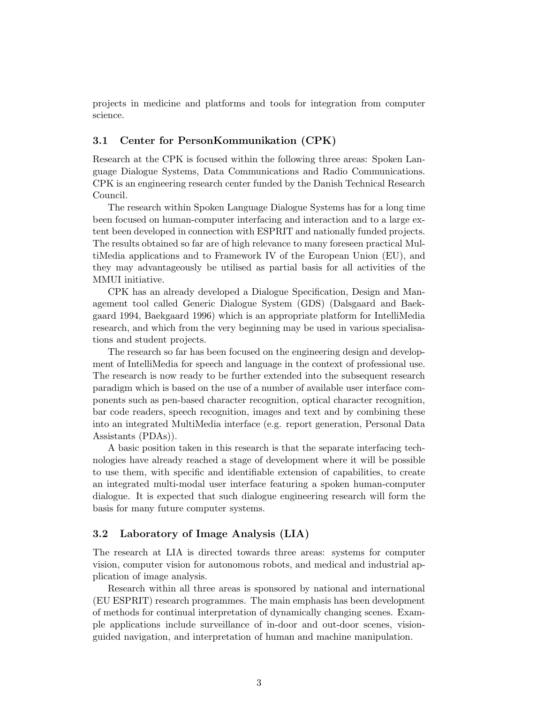projects in medicine and platforms and tools for integration from computer science.

### 3.1 Center for PersonKommunikation (CPK)

Research at the CPK is focused within the following three areas: Spoken Language Dialogue Systems, Data Communications and Radio Communications. CPK is an engineering research center funded by the Danish Technical Research Council.

The research within Spoken Language Dialogue Systems has for a long time been focused on human-computer interfacing and interaction and to a large extent been developed in connection with ESPRIT and nationally funded projects. The results obtained so far are of high relevance to many foreseen practical MultiMedia applications and to Framework IV of the European Union (EU), and they may advantageously be utilised as partial basis for all activities of the MMUI initiative.

CPK has an already developed a Dialogue Specification, Design and Management tool called Generic Dialogue System (GDS) (Dalsgaard and Baekgaard 1994, Baekgaard 1996) which is an appropriate platform for IntelliMedia research, and which from the very beginning may be used in various specialisations and student projects.

The research so far has been focused on the engineering design and development of IntelliMedia for speech and language in the context of professional use. The research is now ready to be further extended into the subsequent research paradigm which is based on the use of a number of available user interface components such as pen-based character recognition, optical character recognition, bar code readers, speech recognition, images and text and by combining these into an integrated MultiMedia interface (e.g. report generation, Personal Data Assistants (PDAs)).

A basic position taken in this research is that the separate interfacing technologies have already reached a stage of development where it will be possible to use them, with specific and identifiable extension of capabilities, to create an integrated multi-modal user interface featuring a spoken human-computer dialogue. It is expected that such dialogue engineering research will form the basis for many future computer systems.

#### 3.2 Laboratory of Image Analysis (LIA)

The research at LIA is directed towards three areas: systems for computer vision, computer vision for autonomous robots, and medical and industrial application of image analysis.

Research within all three areas is sponsored by national and international (EU ESPRIT) research programmes. The main emphasis has been development of methods for continual interpretation of dynamically changing scenes. Example applications include surveillance of in-door and out-door scenes, visionguided navigation, and interpretation of human and machine manipulation.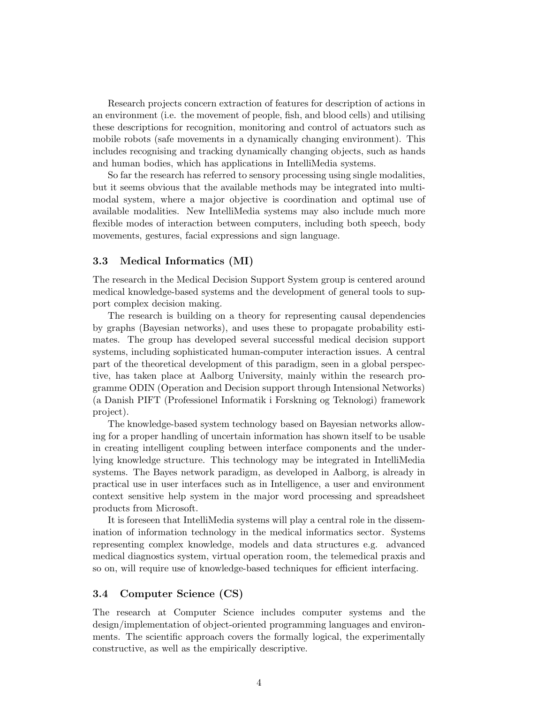Research projects concern extraction of features for description of actions in an environment (i.e. the movement of people, fish, and blood cells) and utilising these descriptions for recognition, monitoring and control of actuators such as mobile robots (safe movements in a dynamically changing environment). This includes recognising and tracking dynamically changing objects, such as hands and human bodies, which has applications in IntelliMedia systems.

So far the research has referred to sensory processing using single modalities, but it seems obvious that the available methods may be integrated into multimodal system, where a major objective is coordination and optimal use of available modalities. New IntelliMedia systems may also include much more flexible modes of interaction between computers, including both speech, body movements, gestures, facial expressions and sign language.

#### 3.3 Medical Informatics (MI)

The research in the Medical Decision Support System group is centered around medical knowledge-based systems and the development of general tools to support complex decision making.

The research is building on a theory for representing causal dependencies by graphs (Bayesian networks), and uses these to propagate probability estimates. The group has developed several successful medical decision support systems, including sophisticated human-computer interaction issues. A central part of the theoretical development of this paradigm, seen in a global perspective, has taken place at Aalborg University, mainly within the research programme ODIN (Operation and Decision support through Intensional Networks) (a Danish PIFT (Professionel Informatik i Forskning og Teknologi) framework project).

The knowledge-based system technology based on Bayesian networks allowing for a proper handling of uncertain information has shown itself to be usable in creating intelligent coupling between interface components and the underlying knowledge structure. This technology may be integrated in IntelliMedia systems. The Bayes network paradigm, as developed in Aalborg, is already in practical use in user interfaces such as in Intelligence, a user and environment context sensitive help system in the major word processing and spreadsheet products from Microsoft.

It is foreseen that IntelliMedia systems will play a central role in the dissemination of information technology in the medical informatics sector. Systems representing complex knowledge, models and data structures e.g. advanced medical diagnostics system, virtual operation room, the telemedical praxis and so on, will require use of knowledge-based techniques for efficient interfacing.

#### 3.4 Computer Science (CS)

The research at Computer Science includes computer systems and the design/implementation of object-oriented programming languages and environments. The scientific approach covers the formally logical, the experimentally constructive, as well as the empirically descriptive.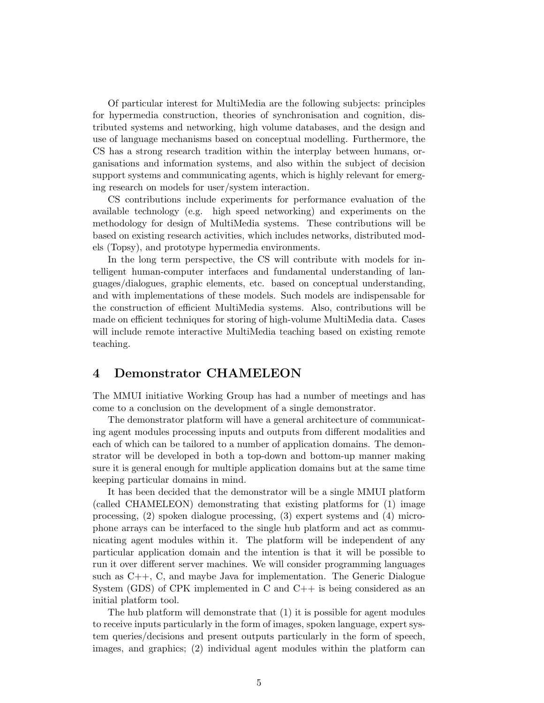Of particular interest for MultiMedia are the following subjects: principles for hypermedia construction, theories of synchronisation and cognition, distributed systems and networking, high volume databases, and the design and use of language mechanisms based on conceptual modelling. Furthermore, the CS has a strong research tradition within the interplay between humans, organisations and information systems, and also within the subject of decision support systems and communicating agents, which is highly relevant for emerging research on models for user/system interaction.

CS contributions include experiments for performance evaluation of the available technology (e.g. high speed networking) and experiments on the methodology for design of MultiMedia systems. These contributions will be based on existing research activities, which includes networks, distributed models (Topsy), and prototype hypermedia environments.

In the long term perspective, the CS will contribute with models for intelligent human-computer interfaces and fundamental understanding of languages/dialogues, graphic elements, etc. based on conceptual understanding, and with implementations of these models. Such models are indispensable for the construction of efficient MultiMedia systems. Also, contributions will be made on efficient techniques for storing of high-volume MultiMedia data. Cases will include remote interactive MultiMedia teaching based on existing remote teaching.

## 4 Demonstrator CHAMELEON

The MMUI initiative Working Group has had a number of meetings and has come to a conclusion on the development of a single demonstrator.

The demonstrator platform will have a general architecture of communicating agent modules processing inputs and outputs from different modalities and each of which can be tailored to a number of application domains. The demonstrator will be developed in both a top-down and bottom-up manner making sure it is general enough for multiple application domains but at the same time keeping particular domains in mind.

It has been decided that the demonstrator will be a single MMUI platform (called CHAMELEON) demonstrating that existing platforms for (1) image processing, (2) spoken dialogue processing, (3) expert systems and (4) microphone arrays can be interfaced to the single hub platform and act as communicating agent modules within it. The platform will be independent of any particular application domain and the intention is that it will be possible to run it over different server machines. We will consider programming languages such as  $C_{++}$ , C, and maybe Java for implementation. The Generic Dialogue System (GDS) of CPK implemented in C and  $C_{++}$  is being considered as an initial platform tool.

The hub platform will demonstrate that (1) it is possible for agent modules to receive inputs particularly in the form of images, spoken language, expert system queries/decisions and present outputs particularly in the form of speech, images, and graphics; (2) individual agent modules within the platform can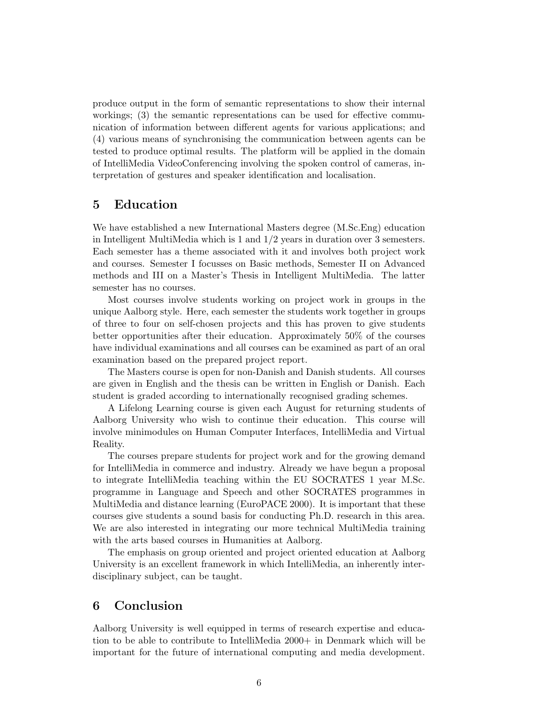produce output in the form of semantic representations to show their internal workings; (3) the semantic representations can be used for effective communication of information between different agents for various applications; and (4) various means of synchronising the communication between agents can be tested to produce optimal results. The platform will be applied in the domain of IntelliMedia VideoConferencing involving the spoken control of cameras, interpretation of gestures and speaker identification and localisation.

# 5 Education

We have established a new International Masters degree (M.Sc.Eng) education in Intelligent MultiMedia which is 1 and 1/2 years in duration over 3 semesters. Each semester has a theme associated with it and involves both project work and courses. Semester I focusses on Basic methods, Semester II on Advanced methods and III on a Master's Thesis in Intelligent MultiMedia. The latter semester has no courses.

Most courses involve students working on project work in groups in the unique Aalborg style. Here, each semester the students work together in groups of three to four on self-chosen projects and this has proven to give students better opportunities after their education. Approximately 50% of the courses have individual examinations and all courses can be examined as part of an oral examination based on the prepared project report.

The Masters course is open for non-Danish and Danish students. All courses are given in English and the thesis can be written in English or Danish. Each student is graded according to internationally recognised grading schemes.

A Lifelong Learning course is given each August for returning students of Aalborg University who wish to continue their education. This course will involve minimodules on Human Computer Interfaces, IntelliMedia and Virtual Reality.

The courses prepare students for project work and for the growing demand for IntelliMedia in commerce and industry. Already we have begun a proposal to integrate IntelliMedia teaching within the EU SOCRATES 1 year M.Sc. programme in Language and Speech and other SOCRATES programmes in MultiMedia and distance learning (EuroPACE 2000). It is important that these courses give students a sound basis for conducting Ph.D. research in this area. We are also interested in integrating our more technical MultiMedia training with the arts based courses in Humanities at Aalborg.

The emphasis on group oriented and project oriented education at Aalborg University is an excellent framework in which IntelliMedia, an inherently interdisciplinary subject, can be taught.

# 6 Conclusion

Aalborg University is well equipped in terms of research expertise and education to be able to contribute to IntelliMedia 2000+ in Denmark which will be important for the future of international computing and media development.